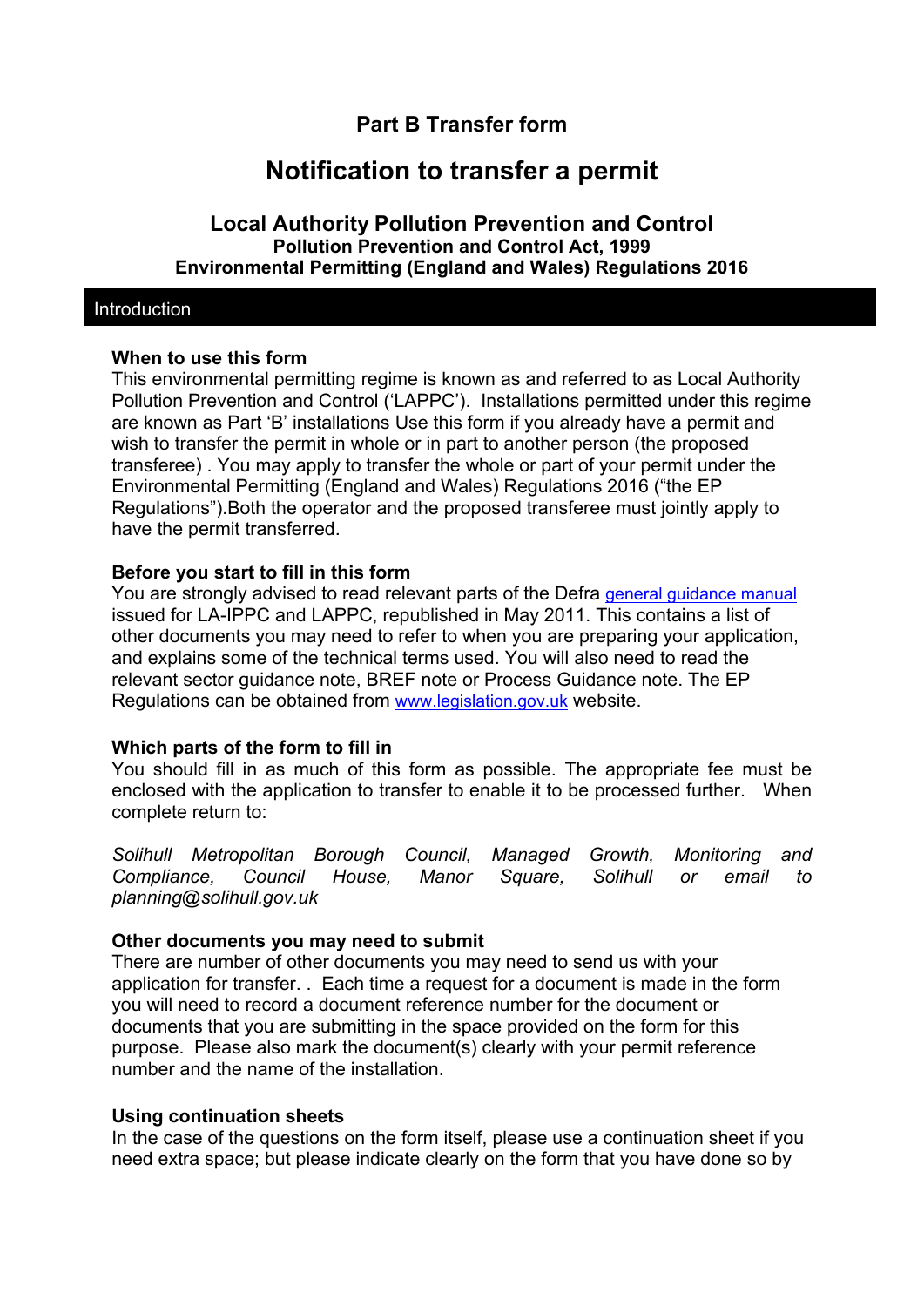## **Part B Transfer form**

# **Notification to transfer a permit**

## **Local Authority Pollution Prevention and Control Pollution Prevention and Control Act, 1999 Environmental Permitting (England and Wales) Regulations 2016**

#### Introduction

## **When to use this form**

This environmental permitting regime is known as and referred to as Local Authority Pollution Prevention and Control ('LAPPC'). Installations permitted under this regime are known as Part 'B' installations Use this form if you already have a permit and wish to transfer the permit in whole or in part to another person (the proposed transferee) . You may apply to transfer the whole or part of your permit under the Environmental Permitting (England and Wales) Regulations 2016 ("the EP Regulations").Both the operator and the proposed transferee must jointly apply to have the permit transferred.

## **Before you start to fill in this form**

You are strongly advised to read relevant parts of the Defra general guidance manual issued for LA-IPPC and LAPPC, republished in May 2011. This contains a list of other documents you may need to refer to when you are preparing your application, and explains some of the technical terms used. You will also need to read the relevant sector guidance note, BREF note or Process Guidance note. The EP Regulations can be obtained from www.legislation.gov.uk website.

## **Which parts of the form to fill in**

You should fill in as much of this form as possible. The appropriate fee must be enclosed with the application to transfer to enable it to be processed further. When complete return to:

*Solihull Metropolitan Borough Council, Managed Growth, Monitoring and Compliance, Council House, Manor Square, Solihull or email to planning@solihull.gov.uk* 

#### **Other documents you may need to submit**

There are number of other documents you may need to send us with your application for transfer. . Each time a request for a document is made in the form you will need to record a document reference number for the document or documents that you are submitting in the space provided on the form for this purpose. Please also mark the document(s) clearly with your permit reference number and the name of the installation.

#### **Using continuation sheets**

In the case of the questions on the form itself, please use a continuation sheet if you need extra space; but please indicate clearly on the form that you have done so by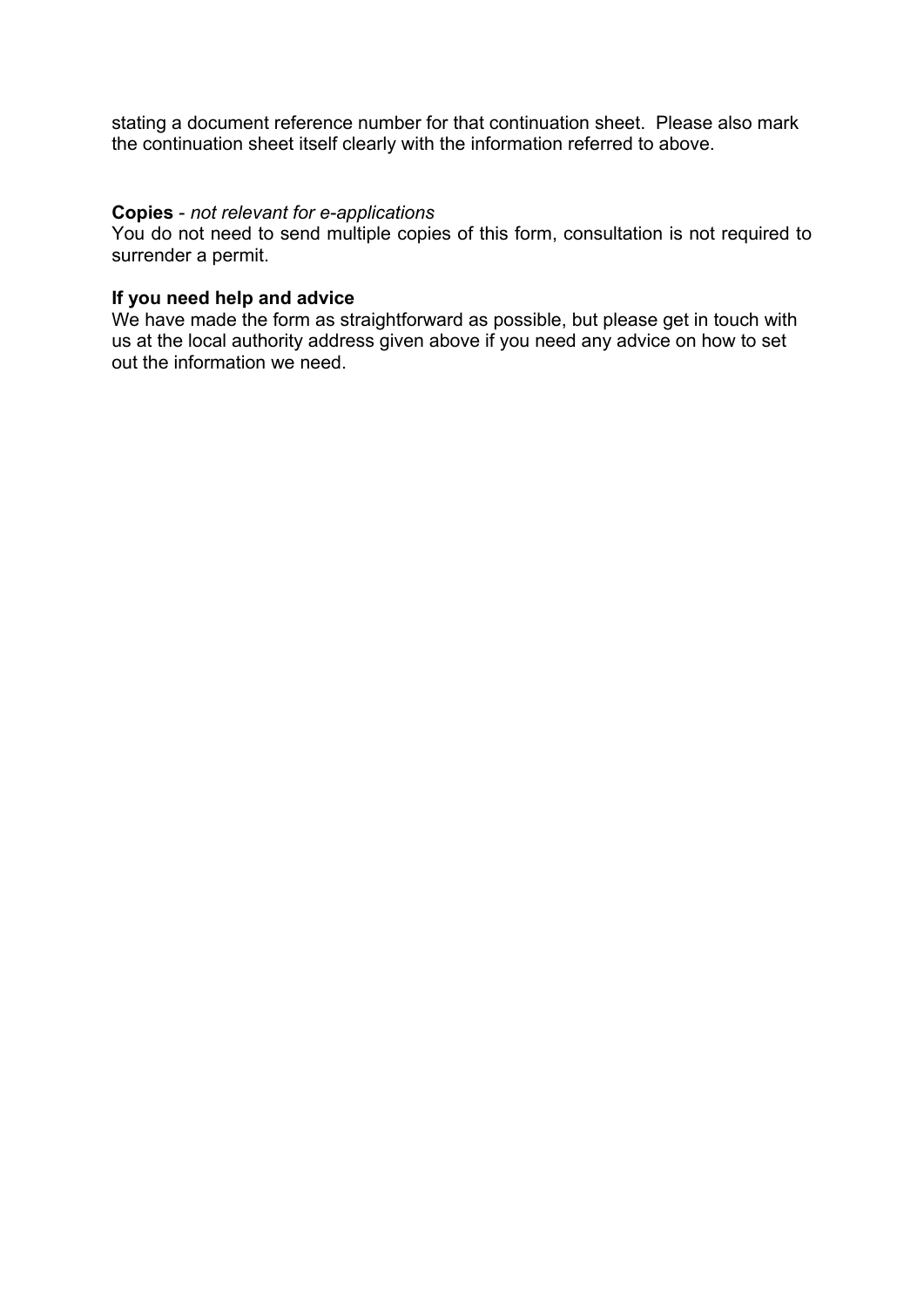stating a document reference number for that continuation sheet. Please also mark the continuation sheet itself clearly with the information referred to above.

#### **Copies** - *not relevant for e-applications*

You do not need to send multiple copies of this form, consultation is not required to surrender a permit.

## **If you need help and advice**

We have made the form as straightforward as possible, but please get in touch with us at the local authority address given above if you need any advice on how to set out the information we need.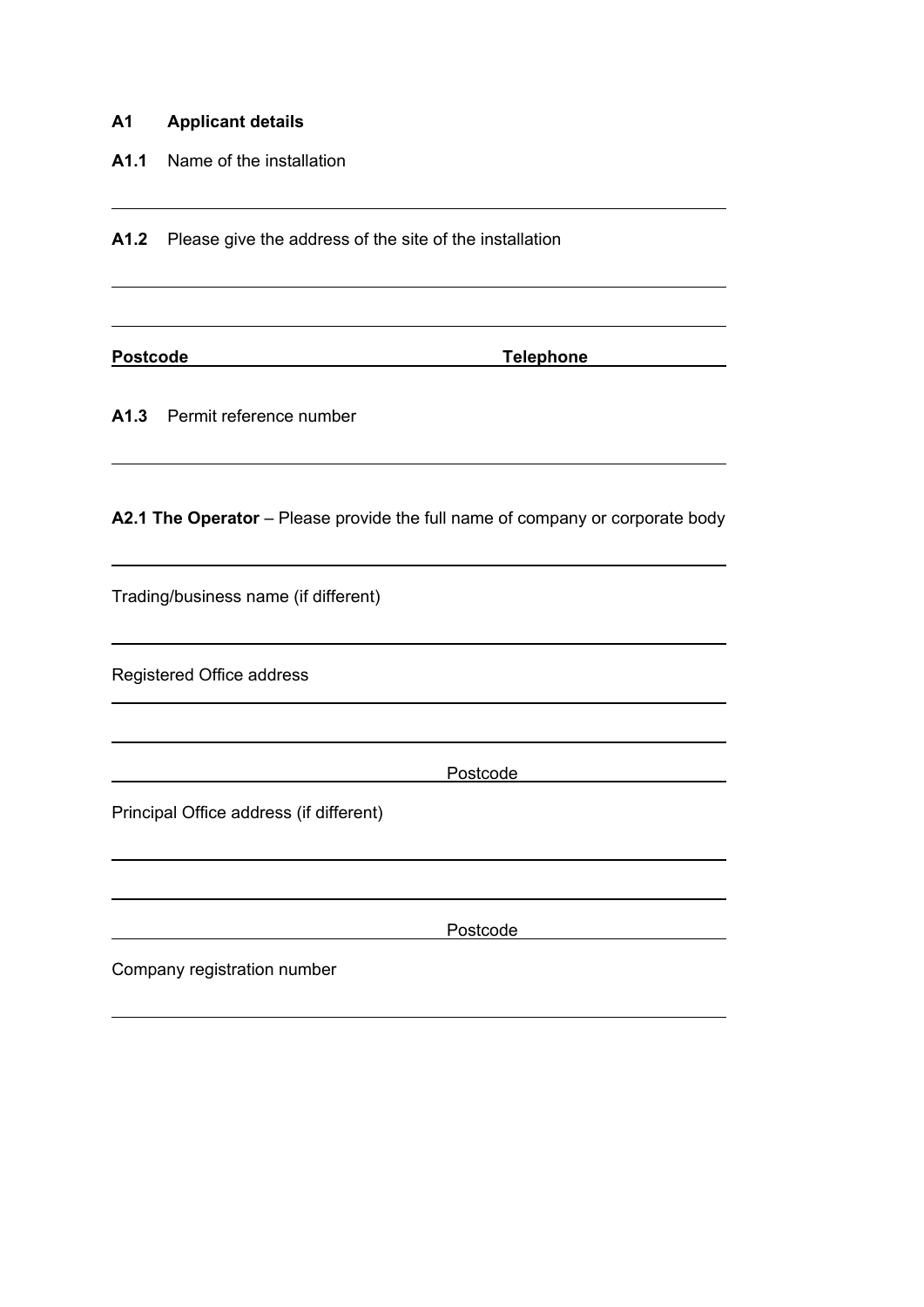## **A1 Applicant details**

**A1.1** Name of the installation

A1.2 Please give the address of the site of the installation

 $\overline{a}$ 

 $\overline{a}$ 

 $\overline{a}$ 

**Postcode Telephone**

**A1.3** Permit reference number

**A2.1 The Operator** – Please provide the full name of company or corporate body

Trading/business name (if different)

Registered Office address

Postcode

Principal Office address (if different)

Postcode

Company registration number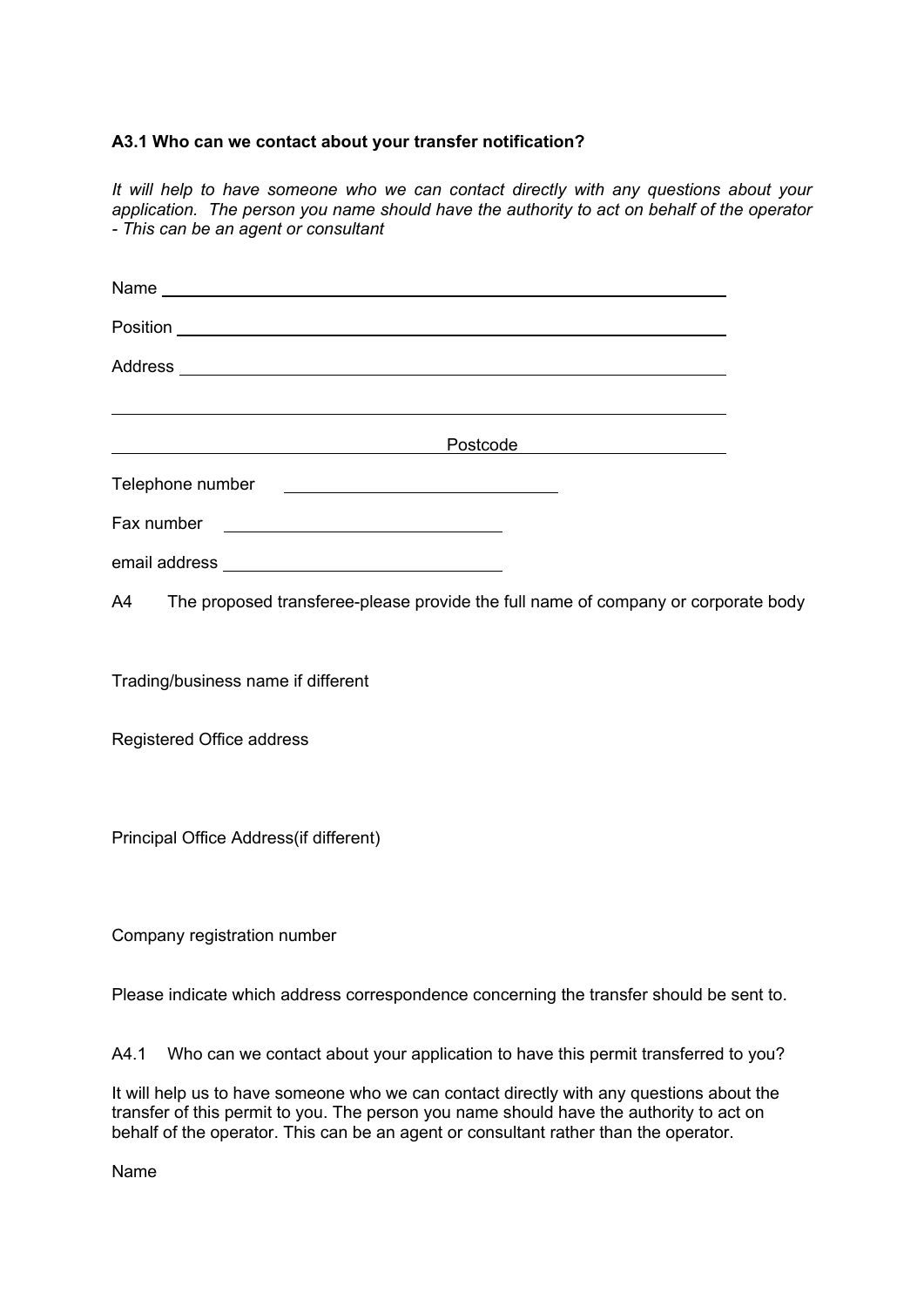#### **A3.1 Who can we contact about your transfer notification?**

*It will help to have someone who we can contact directly with any questions about your application. The person you name should have the authority to act on behalf of the operator - This can be an agent or consultant* 

| <u> 1989 - Johann Stoff, deutscher Stoff, der Stoff, der Stoff, der Stoff, der Stoff, der Stoff, der Stoff, der S</u>                                                                                                                |  |
|--------------------------------------------------------------------------------------------------------------------------------------------------------------------------------------------------------------------------------------|--|
| Postcode Postcode                                                                                                                                                                                                                    |  |
|                                                                                                                                                                                                                                      |  |
| Fax number <u>example and the set of the set of the set of the set of the set of the set of the set of the set of the set of the set of the set of the set of the set of the set of the set of the set of the set of the set of </u> |  |
|                                                                                                                                                                                                                                      |  |
| A4 The proposed transferee-please provide the full name of company or corporate body                                                                                                                                                 |  |
|                                                                                                                                                                                                                                      |  |
| Trading/business name if different                                                                                                                                                                                                   |  |

Registered Office address

Principal Office Address(if different)

Company registration number

Please indicate which address correspondence concerning the transfer should be sent to.

A4.1 Who can we contact about your application to have this permit transferred to you?

It will help us to have someone who we can contact directly with any questions about the transfer of this permit to you. The person you name should have the authority to act on behalf of the operator. This can be an agent or consultant rather than the operator.

Name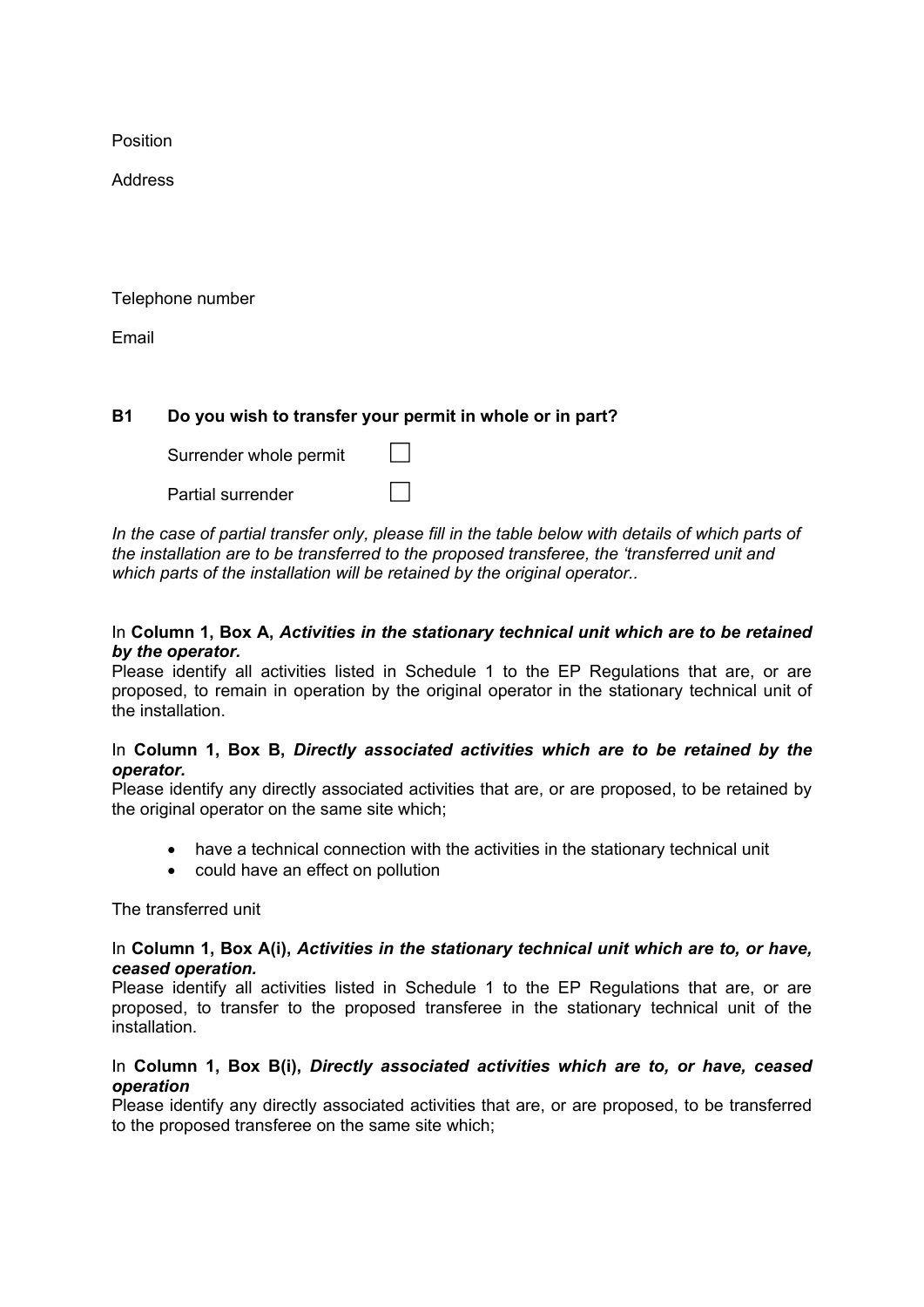Position

Address

Telephone number

Email

#### **B1 Do you wish to transfer your permit in whole or in part?**

| Surrender whole permit |  |
|------------------------|--|
| Partial surrender      |  |

In the case of partial transfer only, please fill in the table below with details of which parts of *the installation are to be transferred to the proposed transferee, the 'transferred unit and which parts of the installation will be retained by the original operator..* 

#### In **Column 1, Box A,** *Activities in the stationary technical unit which are to be retained by the operator.*

Please identify all activities listed in Schedule 1 to the EP Regulations that are, or are proposed, to remain in operation by the original operator in the stationary technical unit of the installation.

#### In **Column 1, Box B,** *Directly associated activities which are to be retained by the operator.*

Please identify any directly associated activities that are, or are proposed, to be retained by the original operator on the same site which;

- have a technical connection with the activities in the stationary technical unit
- could have an effect on pollution

The transferred unit

#### In **Column 1, Box A(i),** *Activities in the stationary technical unit which are to, or have, ceased operation.*

Please identify all activities listed in Schedule 1 to the EP Regulations that are, or are proposed, to transfer to the proposed transferee in the stationary technical unit of the installation.

#### In **Column 1, Box B(i),** *Directly associated activities which are to, or have, ceased operation*

Please identify any directly associated activities that are, or are proposed, to be transferred to the proposed transferee on the same site which;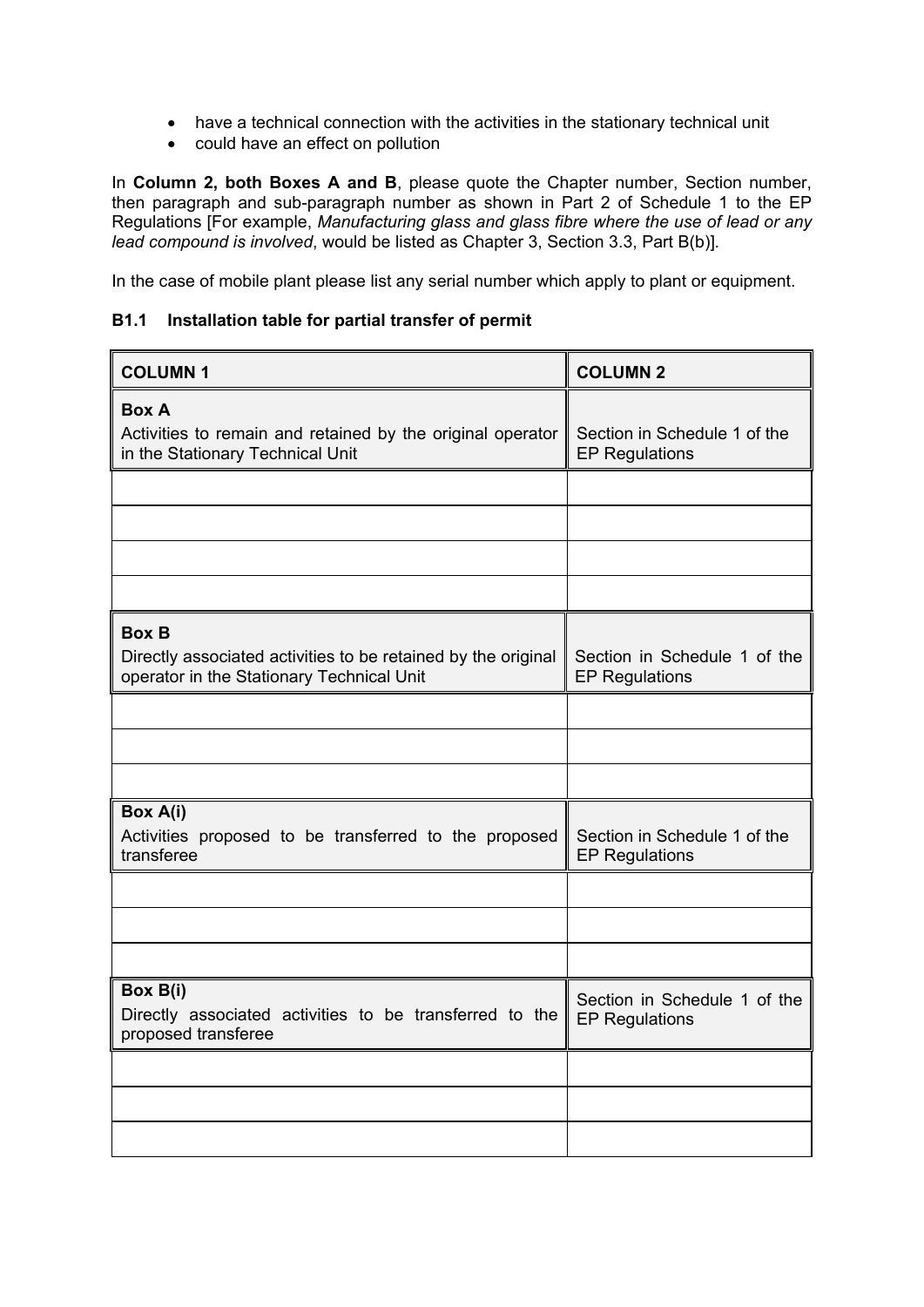- have a technical connection with the activities in the stationary technical unit
- could have an effect on pollution

In **Column 2, both Boxes A and B**, please quote the Chapter number, Section number, then paragraph and sub-paragraph number as shown in Part 2 of Schedule 1 to the EP Regulations [For example, *Manufacturing glass and glass fibre where the use of lead or any lead compound is involved*, would be listed as Chapter 3, Section 3.3, Part B(b)]*.*

In the case of mobile plant please list any serial number which apply to plant or equipment.

#### **B1.1 Installation table for partial transfer of permit**

| <b>COLUMN1</b>                                                                                                             | <b>COLUMN 2</b>                                       |
|----------------------------------------------------------------------------------------------------------------------------|-------------------------------------------------------|
| <b>Box A</b><br>Activities to remain and retained by the original operator<br>in the Stationary Technical Unit             | Section in Schedule 1 of the<br><b>EP Regulations</b> |
|                                                                                                                            |                                                       |
|                                                                                                                            |                                                       |
|                                                                                                                            |                                                       |
|                                                                                                                            |                                                       |
| <b>Box B</b><br>Directly associated activities to be retained by the original<br>operator in the Stationary Technical Unit | Section in Schedule 1 of the<br><b>EP Regulations</b> |
|                                                                                                                            |                                                       |
|                                                                                                                            |                                                       |
|                                                                                                                            |                                                       |
| Box A(i)<br>Activities proposed to be transferred to the proposed<br>transferee                                            | Section in Schedule 1 of the<br><b>EP Regulations</b> |
|                                                                                                                            |                                                       |
|                                                                                                                            |                                                       |
|                                                                                                                            |                                                       |
| Box B(i)<br>Directly associated activities to be transferred to the<br>proposed transferee                                 | Section in Schedule 1 of the<br><b>EP Regulations</b> |
|                                                                                                                            |                                                       |
|                                                                                                                            |                                                       |
|                                                                                                                            |                                                       |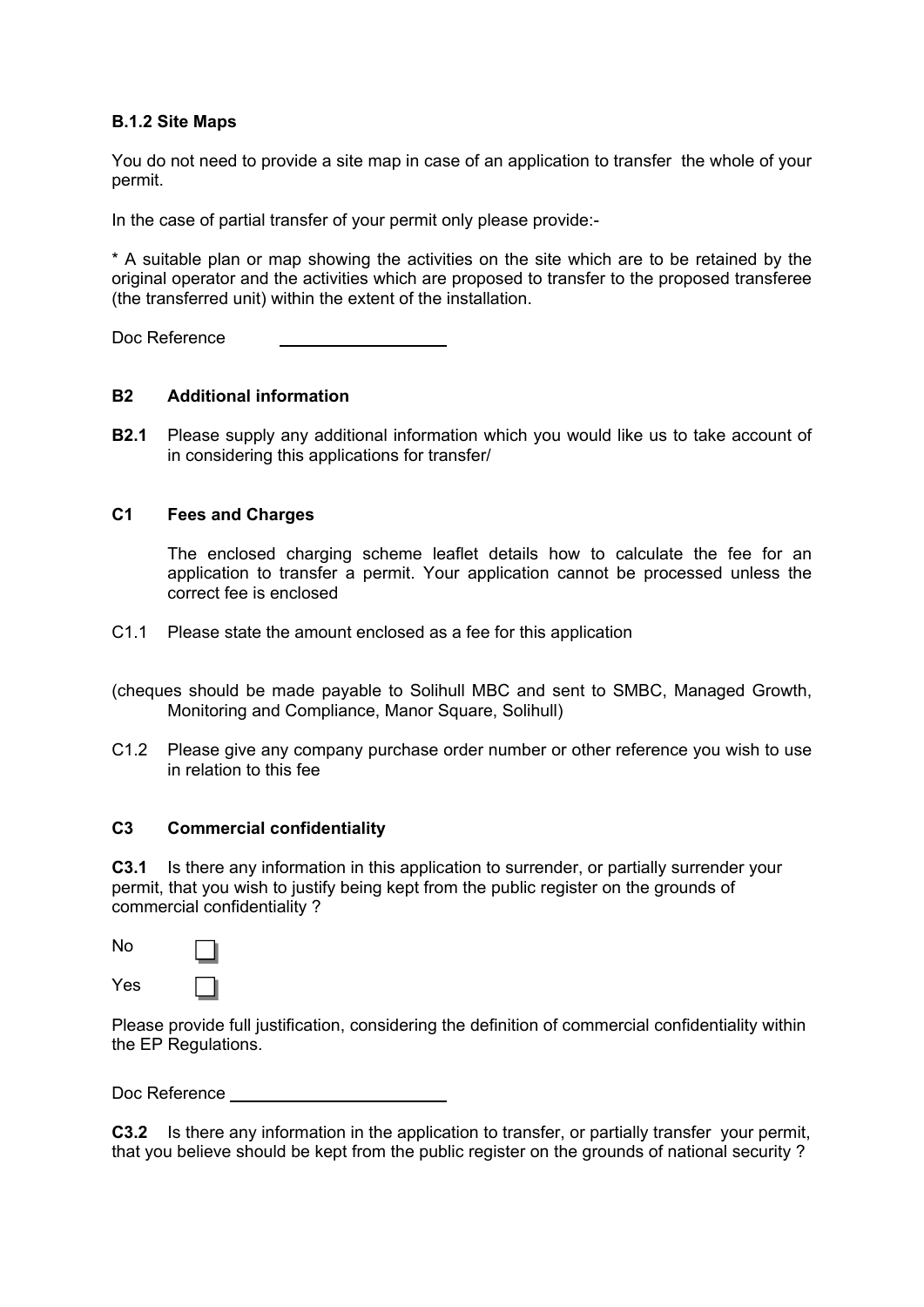#### **B.1.2 Site Maps**

You do not need to provide a site map in case of an application to transfer the whole of your permit.

In the case of partial transfer of your permit only please provide:-

\* A suitable plan or map showing the activities on the site which are to be retained by the original operator and the activities which are proposed to transfer to the proposed transferee (the transferred unit) within the extent of the installation.

Doc Reference

#### **B2 Additional information**

**B2.1** Please supply any additional information which you would like us to take account of in considering this applications for transfer/

#### **C1 Fees and Charges**

The enclosed charging scheme leaflet details how to calculate the fee for an application to transfer a permit. Your application cannot be processed unless the correct fee is enclosed

C1.1 Please state the amount enclosed as a fee for this application

(cheques should be made payable to Solihull MBC and sent to SMBC, Managed Growth, Monitoring and Compliance, Manor Square, Solihull)

C1.2 Please give any company purchase order number or other reference you wish to use in relation to this fee

#### **C3 Commercial confidentiality**

**C3.1** Is there any information in this application to surrender, or partially surrender your permit, that you wish to justify being kept from the public register on the grounds of commercial confidentiality ?

No Yes

Please provide full justification, considering the definition of commercial confidentiality within the EP Regulations.

Doc Reference

**C3.2** Is there any information in the application to transfer, or partially transfer, your permit, that you believe should be kept from the public register on the grounds of national security ?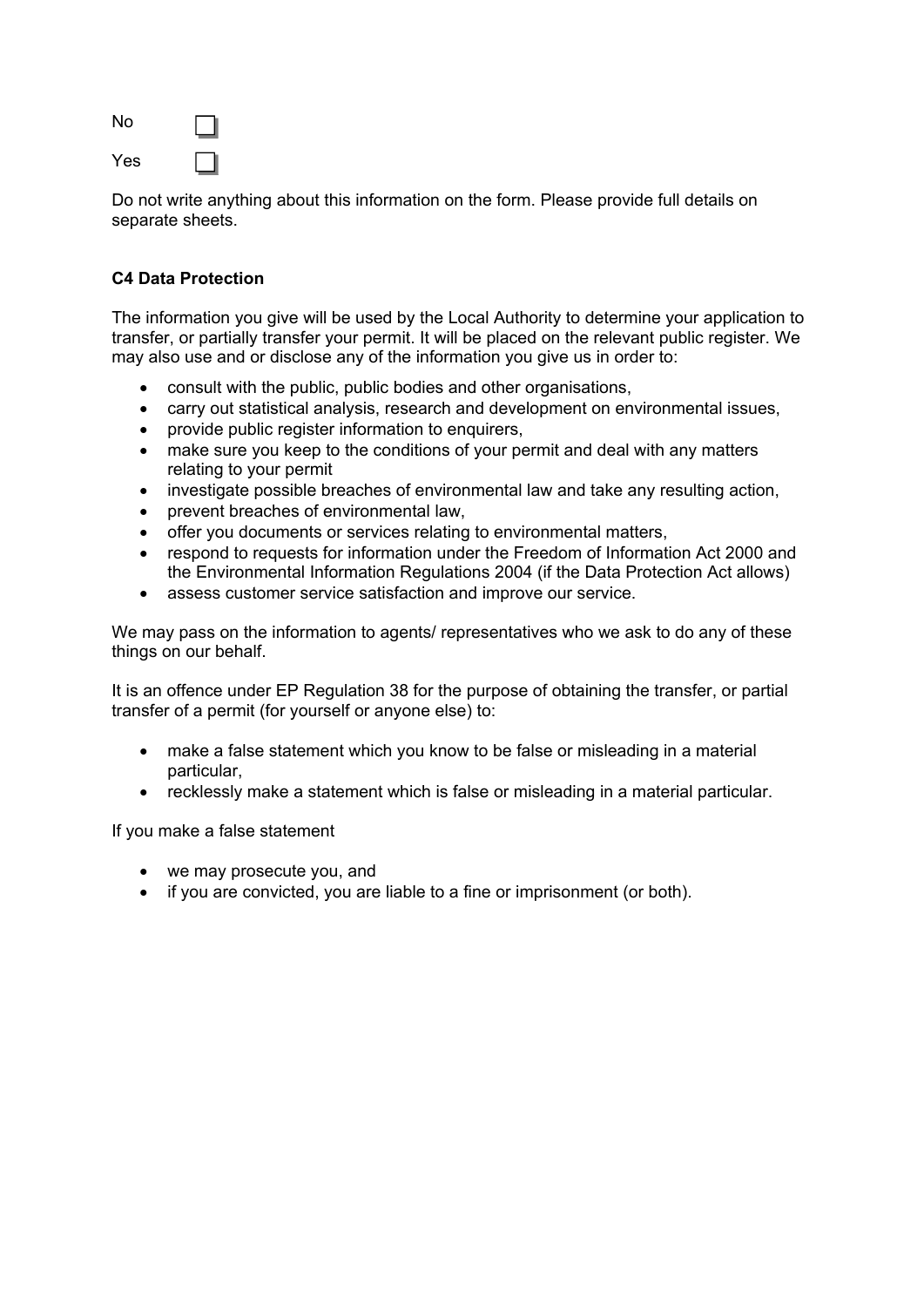No Yes

Do not write anything about this information on the form. Please provide full details on separate sheets.

## **C4 Data Protection**

The information you give will be used by the Local Authority to determine your application to transfer, or partially transfer your permit. It will be placed on the relevant public register. We may also use and or disclose any of the information you give us in order to:

- consult with the public, public bodies and other organisations,
- carry out statistical analysis, research and development on environmental issues,
- provide public register information to enquirers,
- make sure you keep to the conditions of your permit and deal with any matters relating to your permit
- investigate possible breaches of environmental law and take any resulting action,
- prevent breaches of environmental law,
- offer you documents or services relating to environmental matters,
- respond to requests for information under the Freedom of Information Act 2000 and the Environmental Information Regulations 2004 (if the Data Protection Act allows)
- assess customer service satisfaction and improve our service.

We may pass on the information to agents/ representatives who we ask to do any of these things on our behalf.

It is an offence under EP Regulation 38 for the purpose of obtaining the transfer, or partial transfer of a permit (for yourself or anyone else) to:

- make a false statement which you know to be false or misleading in a material particular,
- recklessly make a statement which is false or misleading in a material particular.

If you make a false statement

- we may prosecute you, and
- if you are convicted, you are liable to a fine or imprisonment (or both).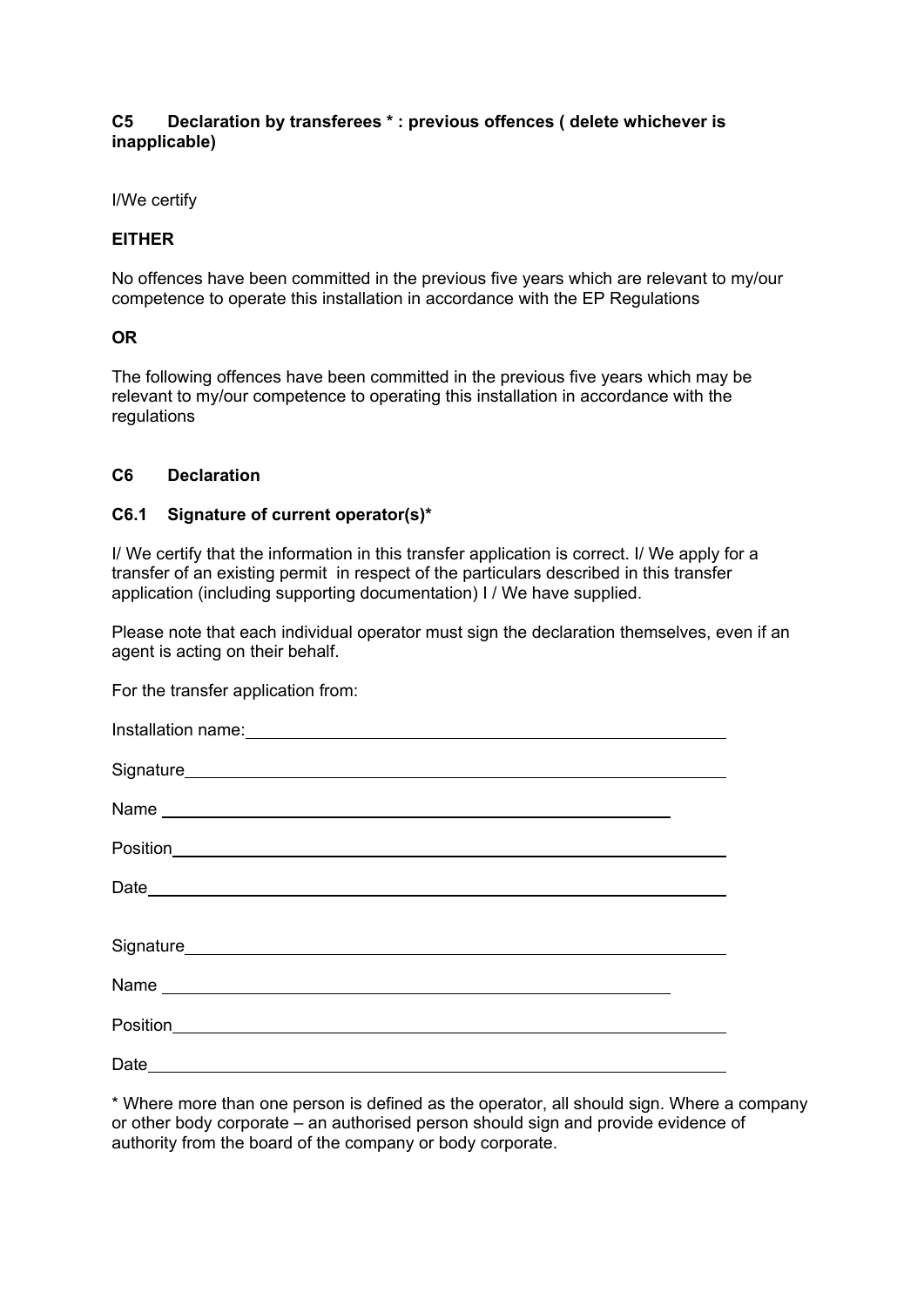#### **C5 Declaration by transferees \* : previous offences ( delete whichever is inapplicable)**

I/We certify

#### **EITHER**

No offences have been committed in the previous five years which are relevant to my/our competence to operate this installation in accordance with the EP Regulations

#### **OR**

The following offences have been committed in the previous five years which may be relevant to my/our competence to operating this installation in accordance with the regulations

#### **C6 Declaration**

#### **C6.1 Signature of current operator(s)\***

I/ We certify that the information in this transfer application is correct. I/ We apply for a transfer of an existing permit in respect of the particulars described in this transfer application (including supporting documentation) I / We have supplied.

Please note that each individual operator must sign the declaration themselves, even if an agent is acting on their behalf.

For the transfer application from:

\* Where more than one person is defined as the operator, all should sign. Where a company or other body corporate – an authorised person should sign and provide evidence of authority from the board of the company or body corporate.